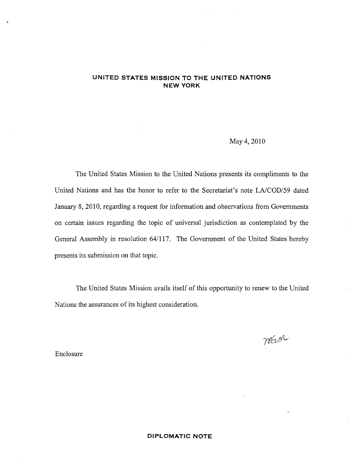## UNITED STATES MISSION TO THE UNITED NATIONS NEW YORK

## May 4, 2010

The United States Mission to the United Nations presents its compliments to the United Nations and has the honor to refer to the Secretariat's note LA/COD/59 dated January 8, 2010, regarding a request for information and observations from Governments on certain issues regarding the topic of universal jurisdiction as contemplated by the General Assembly in resolution 64/117. The Government of the United States hereby presents its submission on that topic.

The United States Mission avails itself of this opportunity to renew to the United Nations the assurances of its highest consideration.

mein

Enclosure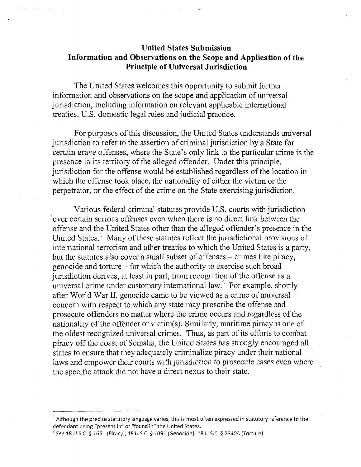## United States Submission Information and Observations on the Scope and Application of the Principle of Universal Jurisdiction

The United States welcomes this opportunity to submit further information and observations on the scope and application of universal jurisdiction, including information on relevant applicable international treaties, U.S. domestic legal rules and judicial practice.

For purposes of this discussion, the United States understands universal jurisdiction to refer to the assertion of criminal jurisdiction by a State for certain grave offenses, where the State's only link to the particular crime is the presence in its territory of the alleged offender. Under this principle, jurisdiction for the offense would be established regardless of the location in which the offense took place, the nationality of either the victim or the perpetrator, or the effect of the crime on the State exercising jurisdiction.

Various federal criminal statutes provide U.S. courts with jurisdiction 'over certain serious offenses even when there is no direct link between the offense and the United States other than the alleged offender's presence in the United States.<sup>1</sup> Many of these statutes reflect the jurisdictional provisions of international terrorism and other treaties to which the United States is a party, but the statutes also cover a small subset of offenses – crimes like piracy, genocide and torture - for which the authority to exercise such broad jurisdiction derives, at least in part, from recognition of the offense as a universal crime under customary international law.<sup>2</sup> For example, shortly after World War II, genocide came to be viewed as a crime of universal concern with respect to which any state may proscribe the offense and prosecute offenders no matter where the crime occurs and regardless of the nationality of the offender or victim(s). Similarly, maritime piracy is one of the oldest recognized universal crimes. Thus, as part of its efforts to combat piracy off the coast of Somalia, the United States has strongly encouraged all states to ensure that they adequately criminalize piracy under their national laws and empower their courts with jurisdiction to prosecute cases even where the specific attack did not have a direct nexus to their state.

 $^{\rm 1}$  Although the precise statutory language varies, this is most often expressed in statutory reference to the defendant being "present in" or "found in" the United States.

 $^2$  *See* 18 U.S.C. § 1651 (Piracy); 18 U.S.C. § 1091 (Genocide); 18 U.S.C. § 2340A (Torture).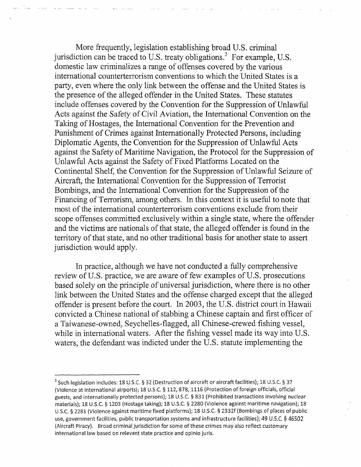More frequently, legislation establishing broad U.S. criminal jurisdiction can be traced to U.S. treaty obligations.<sup>3</sup> For example, U.S. domestic law criminalizes a range of offenses covered by the various international counterterrorism conventions to which the United States is a party, even where the only link between the offense and the United States is the presence of the alleged offender in the United States. These statutes include offenses covered by the Convention for the Suppression of Unlawful Acts against the Safety of Civil Aviation, the International Convention on the Taking of Hostages, the International Convention for the Prevention and Punishment of Crimes against Internationally Protected Persons, including Diplomatic Agents, the Convention for the Suppression of Unlawful Acts against the Safety of Maritime Navigation, the Protocol for the Suppression of Unlawful Acts against the Safety of Fixed Platforms Located on the Continental Shelf, the Convention for the Suppression of Unlawful Seizure of Aircraft, the International Convention for the Suppression of Terrorist Bombings, and the International Convention for the Suppression of the Financing of Terrorism, among others. In this context it is useful to note that most of the international counterterrorism conventions exclude from their scope offenses committed exclusively within a single state, where the offender and the victims are nationals of that state, the alleged offender is found in the territory of that state, and no other traditional basis for another state to assert jurisdiction would apply.

In practice, although we have not conducted a fully comprehensive review of U.S. practice, we are aware of few examples of U.S. prosecutions based solely on the principle of universal jurisdiction, where there is no other link between the United States and the offense charged except that the alleged offender is present before the court. In 2003, the U.S. district court in Hawaii convicted a Chinese national of stabbing a Chinese captain and first officer of a Taiwanese-owned, Seychelles-flagged, all Chinese-crewed fishing vessel, while in international waters. After the fishing vessel made its way into U.S. waters, the defendant was indicted under the U.S. statute implementing the

<sup>&</sup>lt;sup>3</sup> Such legislation includes: 18 U.S.C. § 32 (Destruction of aircraft or aircraft facilities); 18 U.S.C. § 37 (Violence at international airports); 18 U.S.C. § 112, 878,1116 (Protection of foreign officials, official guests, and internationally protected persons); 18 U.S.C. § 831 (Prohibited transactions involving nuclear materials); 18 U.S.C. § 1203 (Hostage taking); 18 U.S.C. § 2280 (Violence against maritime navigation); 18 U.S.C. § 2281 (Violence against maritime fixed platforms); 18 U.S.C. § 2332f (Bombings of places of public use, government facilities, public transportation systems and infrastructure facilities); 49 U.S.C. § 46502 (Aircraft Piracy). Broad criminal jurisdiction for some of these crimes may also reflect customary international law based on relevant state practice and opinio juris.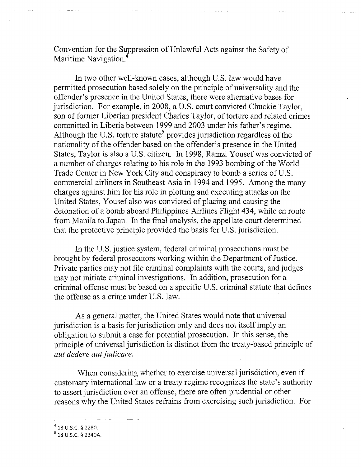Convention for the Suppression of Unlawful Acts against the Safety of Maritime Navigation.

 $\alpha$  ,  $\alpha$  ,  $\alpha$  ,  $\alpha$  ,  $\alpha$  ,  $\alpha$ 

In two other well-known cases, although U.S. law would have permitted prosecution based solely on the principle of universality and the offender's presence in the United States, there were alternative bases for jurisdiction. For example, in 2008, a U.S. court convicted Chuckie Taylor, son of former Liberian president Charles Taylor, of torture and related crimes committed in Liberia between 1999 and 2003 under his father's regime. Although the U.S. torture statute<sup>5</sup> provides jurisdiction regardless of the nationality of the offender based on the offender's presence in the United States, Taylor is also a U.S. citizen. In 1998, Ramzi Yousef was convicted of a number of charges relating to his role in the 1993 bombing of the World Trade Center in New York City and conspiracy to bomb a series of U.S. commercial airliners in Southeast Asia in 1994 and 1995. Among the many charges against him for his role in plotting and executing attacks on the United States, Yousef also was convicted of placing and causing the detonation of a bomb aboard Philippines Airlines Flight 434, while en route from Manila to Japan. In the final analysis, the appellate court determined that the protective principle provided the basis for U.S. jurisdiction.

In the U.S. justice system, federal criminal prosecutions must be brought by federal prosecutors working within the Department of Justice. Private parties may not file criminal complaints with the courts, and judges may not initiate criminal investigations. In addition, prosecution for a criminal offense must be based on a specific U.S. criminal statute that defines the offense as a crime under U.S. law.

As a general matter, the United States would note that universal jurisdiction is a basis for jurisdiction only and does not itself imply an obligation to submit a case for potential prosecution. In this sense, the principle of universal jurisdiction is distinct from the treaty-based principle of aut dedere aut judicare.

When considering whether to exercise universal jurisdiction, even if customary international law or a treaty regime recognizes the state's authority to assert jurisdiction over an offense, there are often prudential or other reasons why the United States refrains from exercising such jurisdiction. For

<sup>&</sup>lt;sup>4</sup> 18 U.S.C. § 2280.<br><sup>5</sup> 18 U.S.C. § 2340A.